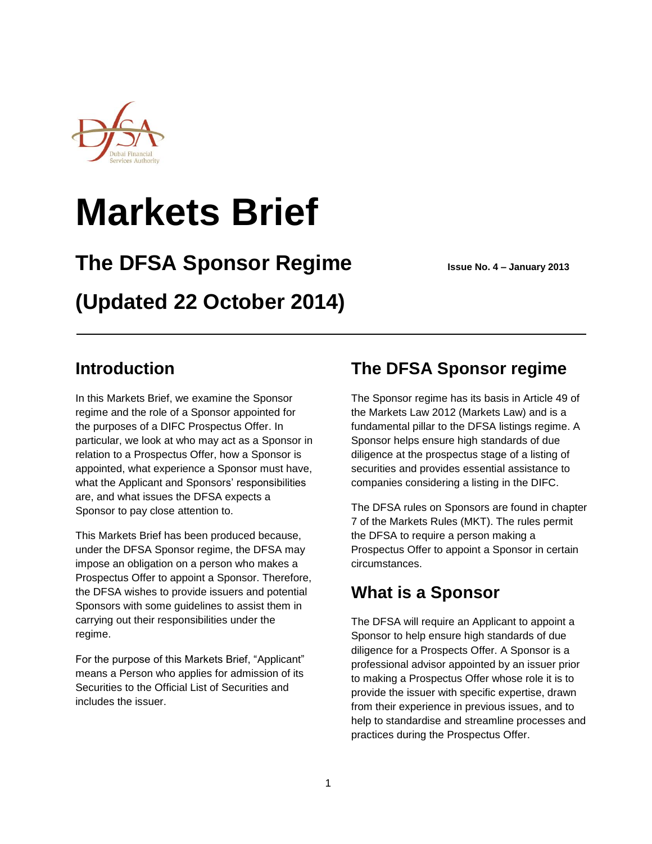

# **Markets Brief**

# **The DFSA Sponsor Regime Issue No. 4 – January 2013**

# **(Updated 22 October 2014)**

### **Introduction**

In this Markets Brief, we examine the Sponsor regime and the role of a Sponsor appointed for the purposes of a DIFC Prospectus Offer. In particular, we look at who may act as a Sponsor in relation to a Prospectus Offer, how a Sponsor is appointed, what experience a Sponsor must have, what the Applicant and Sponsors' responsibilities are, and what issues the DFSA expects a Sponsor to pay close attention to.

This Markets Brief has been produced because, under the DFSA Sponsor regime, the DFSA may impose an obligation on a person who makes a Prospectus Offer to appoint a Sponsor. Therefore, the DFSA wishes to provide issuers and potential Sponsors with some guidelines to assist them in carrying out their responsibilities under the regime.

For the purpose of this Markets Brief, "Applicant" means a Person who applies for admission of its Securities to the Official List of Securities and includes the issuer.

### **The DFSA Sponsor regime**

The Sponsor regime has its basis in Article 49 of the Markets Law 2012 (Markets Law) and is a fundamental pillar to the DFSA listings regime. A Sponsor helps ensure high standards of due diligence at the prospectus stage of a listing of securities and provides essential assistance to companies considering a listing in the DIFC.

The DFSA rules on Sponsors are found in chapter 7 of the Markets Rules (MKT). The rules permit the DFSA to require a person making a Prospectus Offer to appoint a Sponsor in certain circumstances.

### **What is a Sponsor**

The DFSA will require an Applicant to appoint a Sponsor to help ensure high standards of due diligence for a Prospects Offer. A Sponsor is a professional advisor appointed by an issuer prior to making a Prospectus Offer whose role it is to provide the issuer with specific expertise, drawn from their experience in previous issues, and to help to standardise and streamline processes and practices during the Prospectus Offer.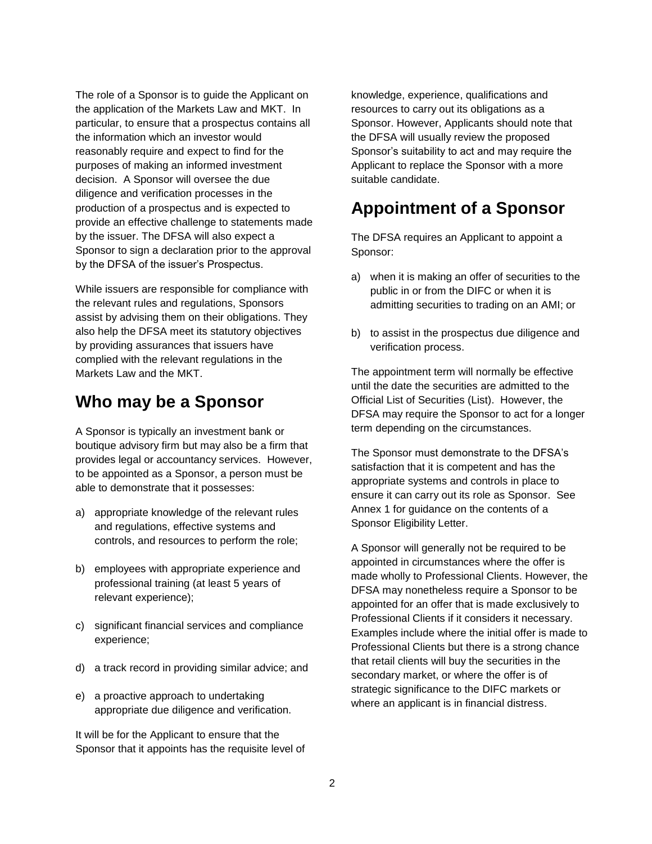The role of a Sponsor is to guide the Applicant on the application of the Markets Law and MKT. In particular, to ensure that a prospectus contains all the information which an investor would reasonably require and expect to find for the purposes of making an informed investment decision. A Sponsor will oversee the due diligence and verification processes in the production of a prospectus and is expected to provide an effective challenge to statements made by the issuer. The DFSA will also expect a Sponsor to sign a declaration prior to the approval by the DFSA of the issuer's Prospectus.

While issuers are responsible for compliance with the relevant rules and regulations, Sponsors assist by advising them on their obligations. They also help the DFSA meet its statutory objectives by providing assurances that issuers have complied with the relevant regulations in the Markets Law and the MKT.

### **Who may be a Sponsor**

A Sponsor is typically an investment bank or boutique advisory firm but may also be a firm that provides legal or accountancy services. However, to be appointed as a Sponsor, a person must be able to demonstrate that it possesses:

- a) appropriate knowledge of the relevant rules and regulations, effective systems and controls, and resources to perform the role;
- b) employees with appropriate experience and professional training (at least 5 years of relevant experience);
- c) significant financial services and compliance experience;
- d) a track record in providing similar advice; and
- e) a proactive approach to undertaking appropriate due diligence and verification.

It will be for the Applicant to ensure that the Sponsor that it appoints has the requisite level of

knowledge, experience, qualifications and resources to carry out its obligations as a Sponsor. However, Applicants should note that the DFSA will usually review the proposed Sponsor's suitability to act and may require the Applicant to replace the Sponsor with a more suitable candidate.

### **Appointment of a Sponsor**

The DFSA requires an Applicant to appoint a Sponsor:

- a) when it is making an offer of securities to the public in or from the DIFC or when it is admitting securities to trading on an AMI; or
- b) to assist in the prospectus due diligence and verification process.

The appointment term will normally be effective until the date the securities are admitted to the Official List of Securities (List). However, the DFSA may require the Sponsor to act for a longer term depending on the circumstances.

The Sponsor must demonstrate to the DFSA's satisfaction that it is competent and has the appropriate systems and controls in place to ensure it can carry out its role as Sponsor. See Annex 1 for guidance on the contents of a Sponsor Eligibility Letter.

A Sponsor will generally not be required to be appointed in circumstances where the offer is made wholly to Professional Clients. However, the DFSA may nonetheless require a Sponsor to be appointed for an offer that is made exclusively to Professional Clients if it considers it necessary. Examples include where the initial offer is made to Professional Clients but there is a strong chance that retail clients will buy the securities in the secondary market, or where the offer is of strategic significance to the DIFC markets or where an applicant is in financial distress.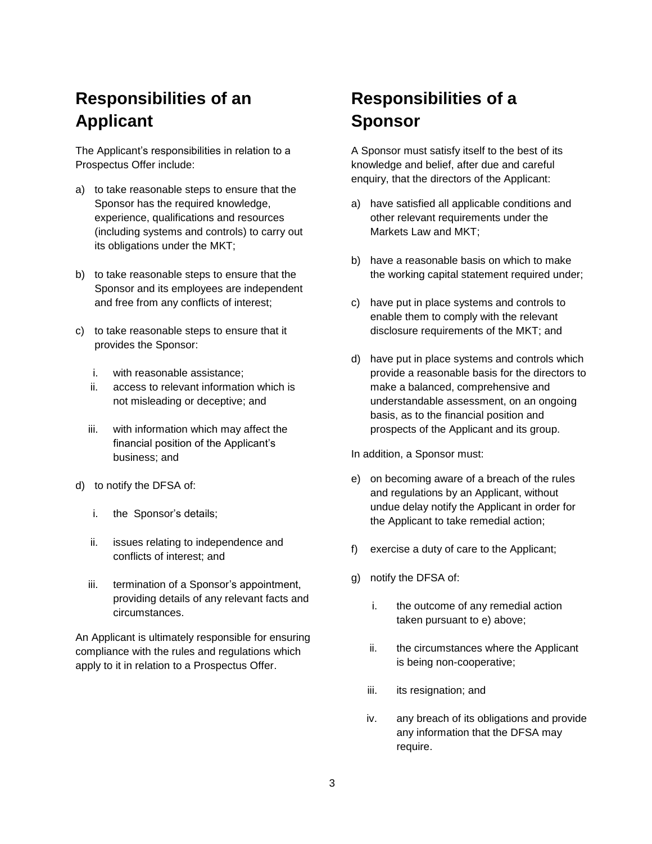# **Responsibilities of an Applicant**

The Applicant's responsibilities in relation to a Prospectus Offer include:

- a) to take reasonable steps to ensure that the Sponsor has the required knowledge, experience, qualifications and resources (including systems and controls) to carry out its obligations under the MKT;
- b) to take reasonable steps to ensure that the Sponsor and its employees are independent and free from any conflicts of interest;
- c) to take reasonable steps to ensure that it provides the Sponsor:
	- i. with reasonable assistance;
	- ii. access to relevant information which is not misleading or deceptive; and
	- iii. with information which may affect the financial position of the Applicant's business; and
- d) to notify the DFSA of:
	- i. the Sponsor's details;
	- ii. issues relating to independence and conflicts of interest; and
	- iii. termination of a Sponsor's appointment, providing details of any relevant facts and circumstances.

An Applicant is ultimately responsible for ensuring compliance with the rules and regulations which apply to it in relation to a Prospectus Offer.

# **Responsibilities of a Sponsor**

A Sponsor must satisfy itself to the best of its knowledge and belief, after due and careful enquiry, that the directors of the Applicant:

- a) have satisfied all applicable conditions and other relevant requirements under the Markets Law and MKT;
- b) have a reasonable basis on which to make the working capital statement required under;
- c) have put in place systems and controls to enable them to comply with the relevant disclosure requirements of the MKT; and
- d) have put in place systems and controls which provide a reasonable basis for the directors to make a balanced, comprehensive and understandable assessment, on an ongoing basis, as to the financial position and prospects of the Applicant and its group.

In addition, a Sponsor must:

- e) on becoming aware of a breach of the rules and regulations by an Applicant, without undue delay notify the Applicant in order for the Applicant to take remedial action;
- f) exercise a duty of care to the Applicant;
- g) notify the DFSA of:
	- i. the outcome of any remedial action taken pursuant to e) above;
	- ii. the circumstances where the Applicant is being non-cooperative;
	- iii. its resignation; and
	- iv. any breach of its obligations and provide any information that the DFSA may require.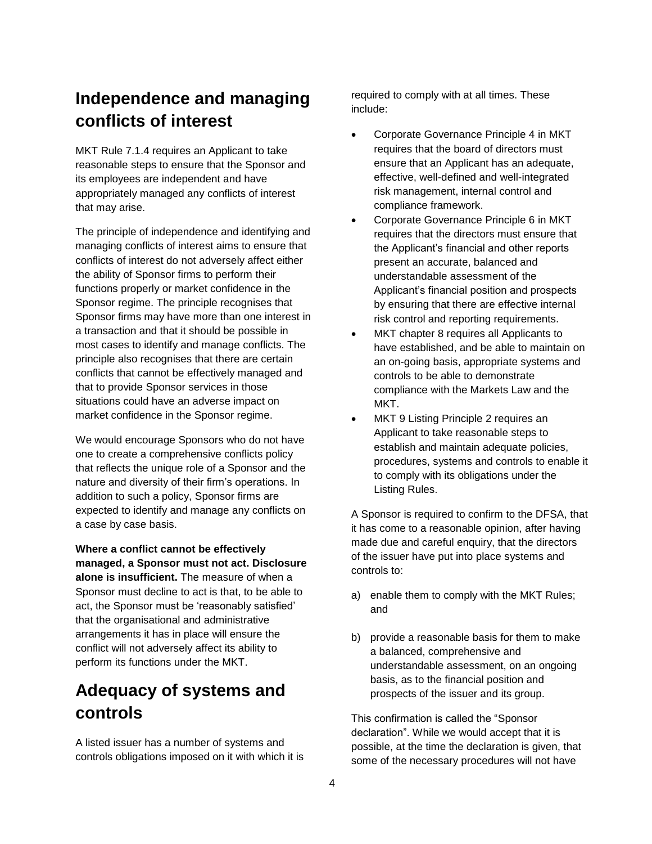# **Independence and managing conflicts of interest**

MKT Rule 7.1.4 requires an Applicant to take reasonable steps to ensure that the Sponsor and its employees are independent and have appropriately managed any conflicts of interest that may arise.

The principle of independence and identifying and managing conflicts of interest aims to ensure that conflicts of interest do not adversely affect either the ability of Sponsor firms to perform their functions properly or market confidence in the Sponsor regime. The principle recognises that Sponsor firms may have more than one interest in a transaction and that it should be possible in most cases to identify and manage conflicts. The principle also recognises that there are certain conflicts that cannot be effectively managed and that to provide Sponsor services in those situations could have an adverse impact on market confidence in the Sponsor regime.

We would encourage Sponsors who do not have one to create a comprehensive conflicts policy that reflects the unique role of a Sponsor and the nature and diversity of their firm's operations. In addition to such a policy, Sponsor firms are expected to identify and manage any conflicts on a case by case basis.

**Where a conflict cannot be effectively managed, a Sponsor must not act. Disclosure alone is insufficient.** The measure of when a Sponsor must decline to act is that, to be able to act, the Sponsor must be 'reasonably satisfied' that the organisational and administrative arrangements it has in place will ensure the conflict will not adversely affect its ability to perform its functions under the MKT.

# **Adequacy of systems and controls**

A listed issuer has a number of systems and controls obligations imposed on it with which it is

required to comply with at all times. These include:

- Corporate Governance Principle 4 in MKT requires that the board of directors must ensure that an Applicant has an adequate, effective, well-defined and well-integrated risk management, internal control and compliance framework.
- Corporate Governance Principle 6 in MKT requires that the directors must ensure that the Applicant's financial and other reports present an accurate, balanced and understandable assessment of the Applicant's financial position and prospects by ensuring that there are effective internal risk control and reporting requirements.
- MKT chapter 8 requires all Applicants to have established, and be able to maintain on an on-going basis, appropriate systems and controls to be able to demonstrate compliance with the Markets Law and the MKT.
- MKT 9 Listing Principle 2 requires an Applicant to take reasonable steps to establish and maintain adequate policies, procedures, systems and controls to enable it to comply with its obligations under the Listing Rules.

A Sponsor is required to confirm to the DFSA, that it has come to a reasonable opinion, after having made due and careful enquiry, that the directors of the issuer have put into place systems and controls to:

- a) enable them to comply with the MKT Rules; and
- b) provide a reasonable basis for them to make a balanced, comprehensive and understandable assessment, on an ongoing basis, as to the financial position and prospects of the issuer and its group.

This confirmation is called the "Sponsor declaration". While we would accept that it is possible, at the time the declaration is given, that some of the necessary procedures will not have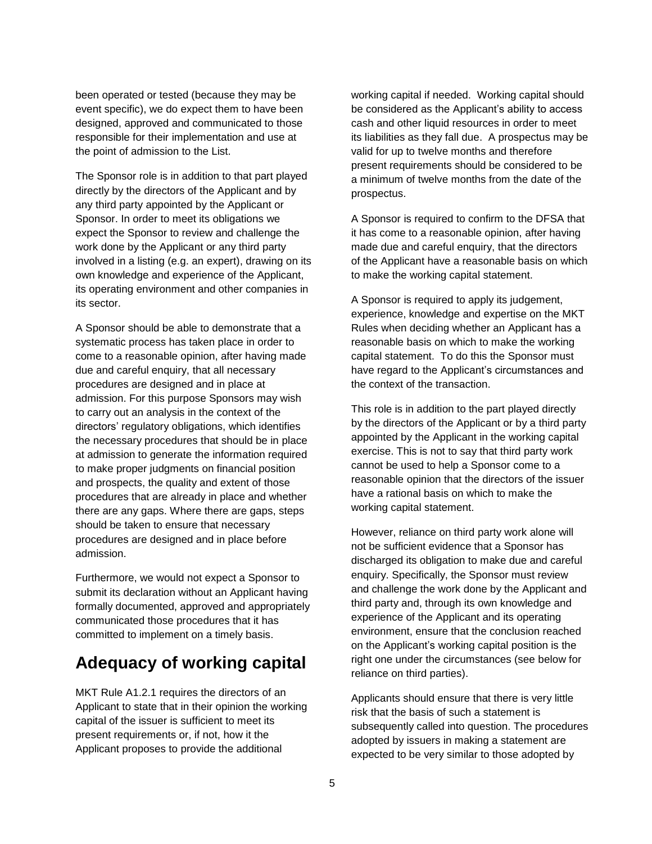been operated or tested (because they may be event specific), we do expect them to have been designed, approved and communicated to those responsible for their implementation and use at the point of admission to the List.

The Sponsor role is in addition to that part played directly by the directors of the Applicant and by any third party appointed by the Applicant or Sponsor. In order to meet its obligations we expect the Sponsor to review and challenge the work done by the Applicant or any third party involved in a listing (e.g. an expert), drawing on its own knowledge and experience of the Applicant, its operating environment and other companies in its sector.

A Sponsor should be able to demonstrate that a systematic process has taken place in order to come to a reasonable opinion, after having made due and careful enquiry, that all necessary procedures are designed and in place at admission. For this purpose Sponsors may wish to carry out an analysis in the context of the directors' regulatory obligations, which identifies the necessary procedures that should be in place at admission to generate the information required to make proper judgments on financial position and prospects, the quality and extent of those procedures that are already in place and whether there are any gaps. Where there are gaps, steps should be taken to ensure that necessary procedures are designed and in place before admission.

Furthermore, we would not expect a Sponsor to submit its declaration without an Applicant having formally documented, approved and appropriately communicated those procedures that it has committed to implement on a timely basis.

### **Adequacy of working capital**

MKT Rule A1.2.1 requires the directors of an Applicant to state that in their opinion the working capital of the issuer is sufficient to meet its present requirements or, if not, how it the Applicant proposes to provide the additional

working capital if needed. Working capital should be considered as the Applicant's ability to access cash and other liquid resources in order to meet its liabilities as they fall due. A prospectus may be valid for up to twelve months and therefore present requirements should be considered to be a minimum of twelve months from the date of the prospectus.

A Sponsor is required to confirm to the DFSA that it has come to a reasonable opinion, after having made due and careful enquiry, that the directors of the Applicant have a reasonable basis on which to make the working capital statement.

A Sponsor is required to apply its judgement, experience, knowledge and expertise on the MKT Rules when deciding whether an Applicant has a reasonable basis on which to make the working capital statement. To do this the Sponsor must have regard to the Applicant's circumstances and the context of the transaction.

This role is in addition to the part played directly by the directors of the Applicant or by a third party appointed by the Applicant in the working capital exercise. This is not to say that third party work cannot be used to help a Sponsor come to a reasonable opinion that the directors of the issuer have a rational basis on which to make the working capital statement.

However, reliance on third party work alone will not be sufficient evidence that a Sponsor has discharged its obligation to make due and careful enquiry. Specifically, the Sponsor must review and challenge the work done by the Applicant and third party and, through its own knowledge and experience of the Applicant and its operating environment, ensure that the conclusion reached on the Applicant's working capital position is the right one under the circumstances (see below for reliance on third parties).

Applicants should ensure that there is very little risk that the basis of such a statement is subsequently called into question. The procedures adopted by issuers in making a statement are expected to be very similar to those adopted by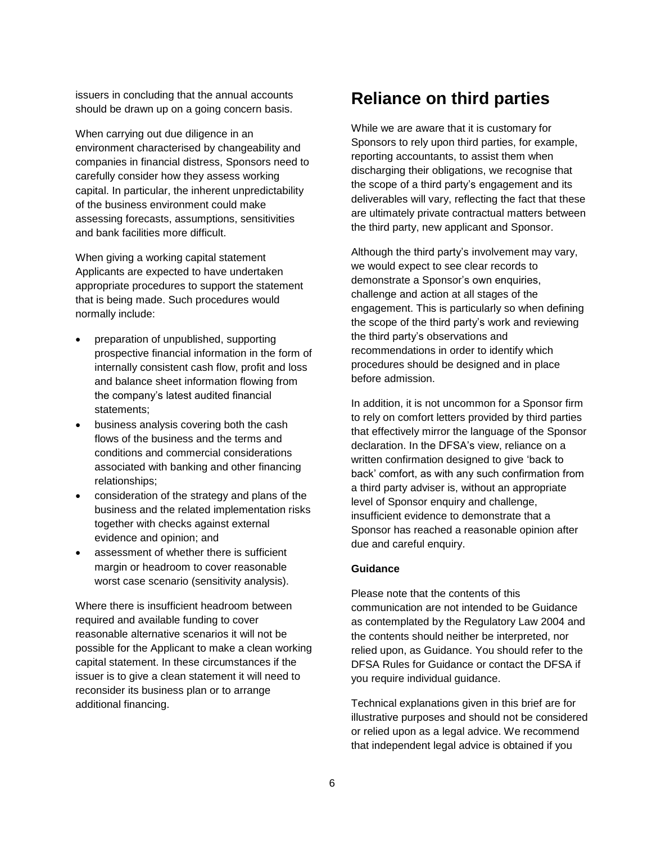issuers in concluding that the annual accounts should be drawn up on a going concern basis.

When carrying out due diligence in an environment characterised by changeability and companies in financial distress, Sponsors need to carefully consider how they assess working capital. In particular, the inherent unpredictability of the business environment could make assessing forecasts, assumptions, sensitivities and bank facilities more difficult.

When giving a working capital statement Applicants are expected to have undertaken appropriate procedures to support the statement that is being made. Such procedures would normally include:

- preparation of unpublished, supporting prospective financial information in the form of internally consistent cash flow, profit and loss and balance sheet information flowing from the company's latest audited financial statements;
- business analysis covering both the cash flows of the business and the terms and conditions and commercial considerations associated with banking and other financing relationships;
- consideration of the strategy and plans of the business and the related implementation risks together with checks against external evidence and opinion; and
- assessment of whether there is sufficient margin or headroom to cover reasonable worst case scenario (sensitivity analysis).

Where there is insufficient headroom between required and available funding to cover reasonable alternative scenarios it will not be possible for the Applicant to make a clean working capital statement. In these circumstances if the issuer is to give a clean statement it will need to reconsider its business plan or to arrange additional financing.

### **Reliance on third parties**

While we are aware that it is customary for Sponsors to rely upon third parties, for example, reporting accountants, to assist them when discharging their obligations, we recognise that the scope of a third party's engagement and its deliverables will vary, reflecting the fact that these are ultimately private contractual matters between the third party, new applicant and Sponsor.

Although the third party's involvement may vary, we would expect to see clear records to demonstrate a Sponsor's own enquiries, challenge and action at all stages of the engagement. This is particularly so when defining the scope of the third party's work and reviewing the third party's observations and recommendations in order to identify which procedures should be designed and in place before admission.

In addition, it is not uncommon for a Sponsor firm to rely on comfort letters provided by third parties that effectively mirror the language of the Sponsor declaration. In the DFSA's view, reliance on a written confirmation designed to give 'back to back' comfort, as with any such confirmation from a third party adviser is, without an appropriate level of Sponsor enquiry and challenge, insufficient evidence to demonstrate that a Sponsor has reached a reasonable opinion after due and careful enquiry.

#### **Guidance**

Please note that the contents of this communication are not intended to be Guidance as contemplated by the Regulatory Law 2004 and the contents should neither be interpreted, nor relied upon, as Guidance. You should refer to the DFSA Rules for Guidance or contact the DFSA if you require individual guidance.

Technical explanations given in this brief are for illustrative purposes and should not be considered or relied upon as a legal advice. We recommend that independent legal advice is obtained if you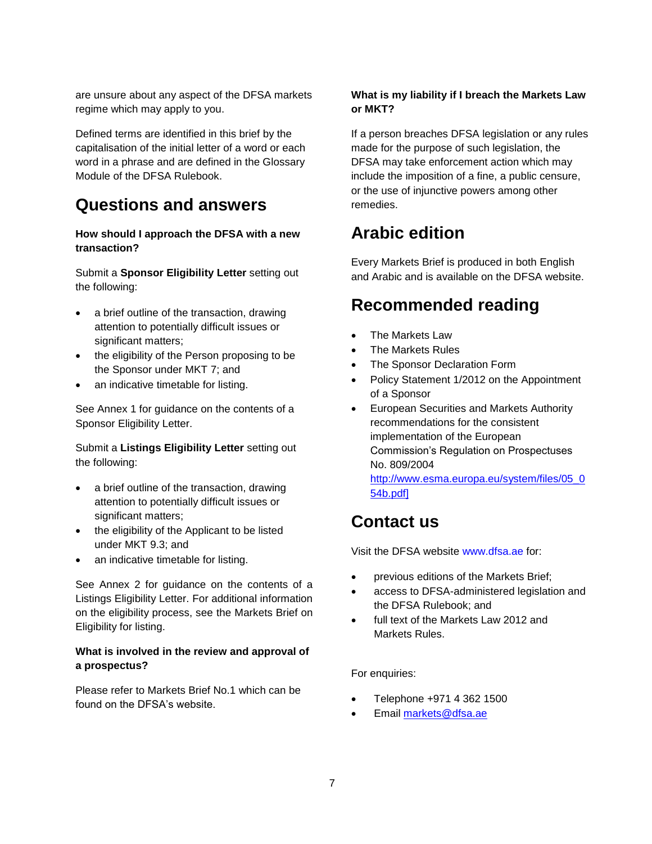are unsure about any aspect of the DFSA markets regime which may apply to you.

Defined terms are identified in this brief by the capitalisation of the initial letter of a word or each word in a phrase and are defined in the Glossary Module of the DFSA Rulebook.

### **Questions and answers**

#### **How should I approach the DFSA with a new transaction?**

Submit a **Sponsor Eligibility Letter** setting out the following:

- a brief outline of the transaction, drawing attention to potentially difficult issues or significant matters;
- the eligibility of the Person proposing to be the Sponsor under MKT 7; and
- an indicative timetable for listing.

See Annex 1 for guidance on the contents of a Sponsor Eligibility Letter.

Submit a **Listings Eligibility Letter** setting out the following:

- a brief outline of the transaction, drawing attention to potentially difficult issues or significant matters;
- the eligibility of the Applicant to be listed under MKT 9.3; and
- an indicative timetable for listing.

See Annex 2 for guidance on the contents of a Listings Eligibility Letter. For additional information on the eligibility process, see the Markets Brief on Eligibility for listing.

#### **What is involved in the review and approval of a prospectus?**

Please refer to Markets Brief No.1 which can be found on the DFSA's website.

#### **What is my liability if I breach the Markets Law or MKT?**

If a person breaches DFSA legislation or any rules made for the purpose of such legislation, the DFSA may take enforcement action which may include the imposition of a fine, a public censure, or the use of injunctive powers among other remedies.

# **Arabic edition**

Every Markets Brief is produced in both English and Arabic and is available on the DFSA website.

## **Recommended reading**

- The Markets Law
- The Markets Rules
- The Sponsor Declaration Form
- Policy Statement 1/2012 on the Appointment of a Sponsor
- European Securities and Markets Authority recommendations for the consistent implementation of the European Commission's Regulation on Prospectuses No. 809/2004

[http://www.esma.europa.eu/system/files/05\\_0](http://www.esma.europa.eu/system/files/05_054b.pdf) [54b.pdf\]](http://www.esma.europa.eu/system/files/05_054b.pdf)

### **Contact us**

Visit the DFSA website www.dfsa.ae for:

- previous editions of the Markets Brief;
- access to DFSA-administered legislation and the DFSA Rulebook; and
- full text of the Markets Law 2012 and Markets Rules.

#### For enquiries:

- Telephone +971 4 362 1500
- Email [markets@dfsa.ae](mailto:markets@dfsa.ae)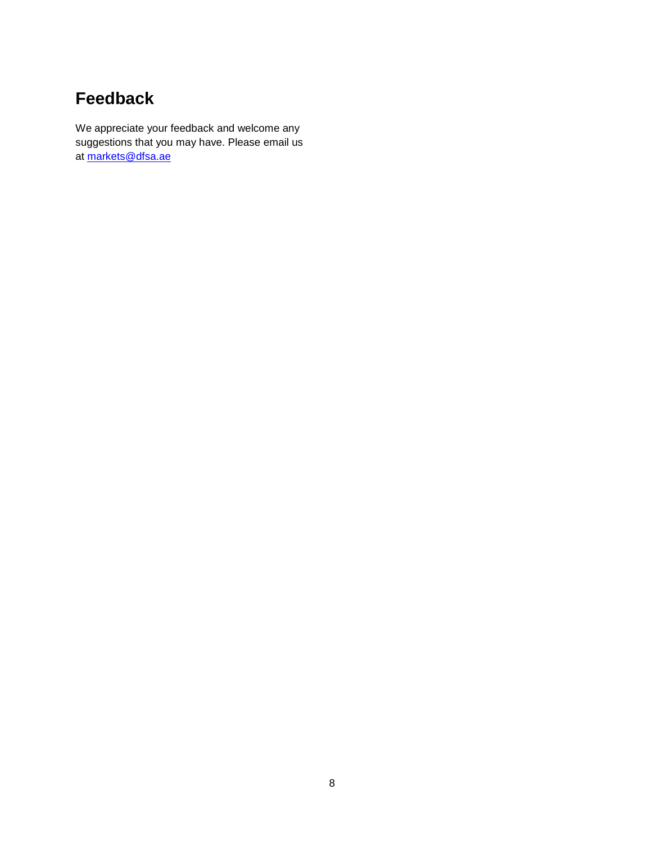# **Feedback**

We appreciate your feedback and welcome any suggestions that you may have. Please email us at [markets@dfsa.ae](mailto:markets@dfsa.ae)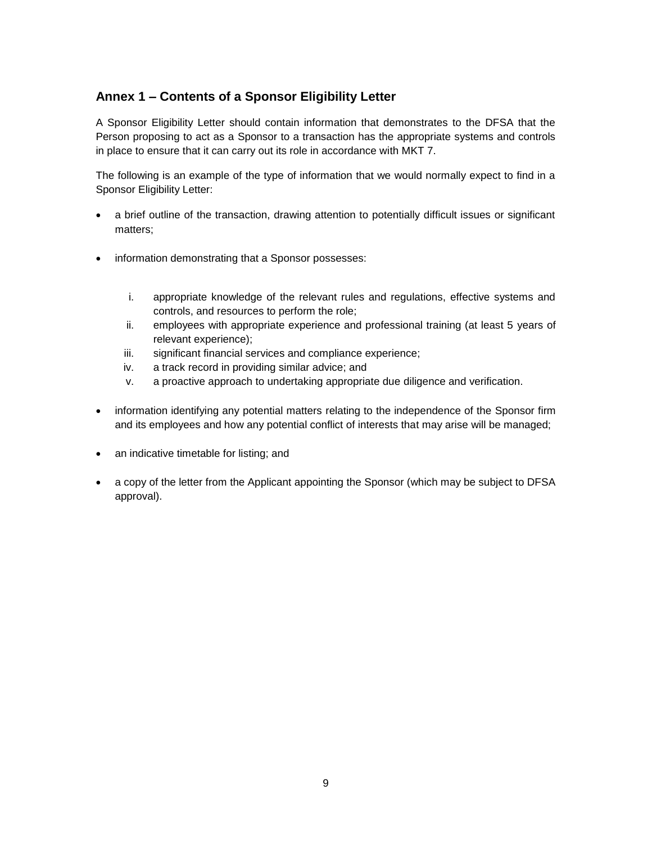### **Annex 1 – Contents of a Sponsor Eligibility Letter**

A Sponsor Eligibility Letter should contain information that demonstrates to the DFSA that the Person proposing to act as a Sponsor to a transaction has the appropriate systems and controls in place to ensure that it can carry out its role in accordance with MKT 7.

The following is an example of the type of information that we would normally expect to find in a Sponsor Eligibility Letter:

- a brief outline of the transaction, drawing attention to potentially difficult issues or significant matters;
- information demonstrating that a Sponsor possesses:
	- i. appropriate knowledge of the relevant rules and regulations, effective systems and controls, and resources to perform the role;
	- ii. employees with appropriate experience and professional training (at least 5 years of relevant experience);
	- iii. significant financial services and compliance experience;
	- iv. a track record in providing similar advice; and
	- v. a proactive approach to undertaking appropriate due diligence and verification.
- information identifying any potential matters relating to the independence of the Sponsor firm and its employees and how any potential conflict of interests that may arise will be managed;
- an indicative timetable for listing; and
- a copy of the letter from the Applicant appointing the Sponsor (which may be subject to DFSA approval).